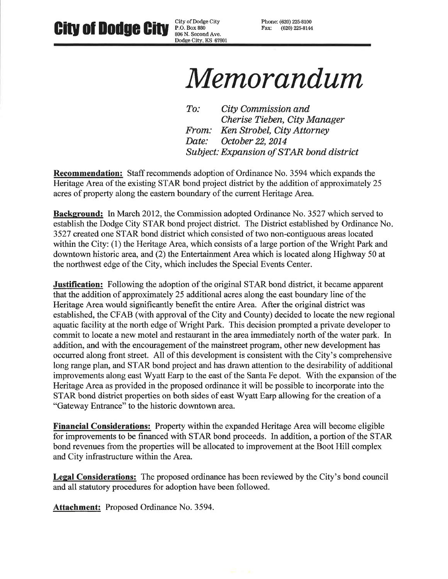City of Dodge City **City of Dodge City** P.O. Box 880 806 N. Second Ave. Dodge City, KS 67801 Phone: (620) 225-8100 Fax: (620) 225-8144

# Memorandum

 $To:$ City Commission and Cherise Tieben, City Manager Ken Strobel, City Attorney From: Date: October 22, 2014 **Subject: Expansion of STAR bond district** 

**Recommendation:** Staff recommends adoption of Ordinance No. 3594 which expands the Heritage Area of the existing STAR bond project district by the addition of approximately 25 acres of property along the eastern boundary of the current Heritage Area.

Background: In March 2012, the Commission adopted Ordinance No. 3527 which served to establish the Dodge City STAR bond project district. The District established by Ordinance No. 3527 created one STAR bond district which consisted of two non-contiguous areas located within the City: (1) the Heritage Area, which consists of a large portion of the Wright Park and downtown historic area, and (2) the Entertainment Area which is located along Highway 50 at the northwest edge of the City, which includes the Special Events Center.

**Justification:** Following the adoption of the original STAR bond district, it became apparent that the addition of approximately 25 additional acres along the east boundary line of the Heritage Area would significantly benefit the entire Area. After the original district was established, the CFAB (with approval of the City and County) decided to locate the new regional aquatic facility at the north edge of Wright Park. This decision prompted a private developer to commit to locate a new motel and restaurant in the area immediately north of the water park. In addition, and with the encouragement of the mainstreet program, other new development has occurred along front street. All of this development is consistent with the City's comprehensive long range plan, and STAR bond project and has drawn attention to the desirability of additional improvements along east Wyatt Earp to the east of the Santa Fe depot. With the expansion of the Heritage Area as provided in the proposed ordinance it will be possible to incorporate into the STAR bond district properties on both sides of east Wyatt Earp allowing for the creation of a "Gateway Entrance" to the historic downtown area.

Financial Considerations: Property within the expanded Heritage Area will become eligible for improvements to be financed with STAR bond proceeds. In addition, a portion of the STAR bond revenues from the properties will be allocated to improvement at the Boot Hill complex and City infrastructure within the Area.

Legal Considerations: The proposed ordinance has been reviewed by the City's bond council and all statutory procedures for adoption have been followed.

**Attachment:** Proposed Ordinance No. 3594.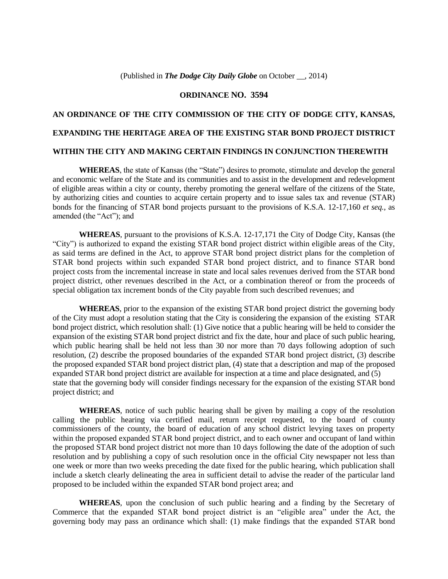#### **ORDINANCE NO. 3594**

# **AN ORDINANCE OF THE CITY COMMISSION OF THE CITY OF DODGE CITY, KANSAS, EXPANDING THE HERITAGE AREA OF THE EXISTING STAR BOND PROJECT DISTRICT WITHIN THE CITY AND MAKING CERTAIN FINDINGS IN CONJUNCTION THEREWITH**

**WHEREAS**, the state of Kansas (the "State") desires to promote, stimulate and develop the general and economic welfare of the State and its communities and to assist in the development and redevelopment of eligible areas within a city or county, thereby promoting the general welfare of the citizens of the State, by authorizing cities and counties to acquire certain property and to issue sales tax and revenue (STAR) bonds for the financing of STAR bond projects pursuant to the provisions of K.S.A. 12-17,160 *et seq.*, as amended (the "Act"); and

**WHEREAS**, pursuant to the provisions of K.S.A. 12-17,171 the City of Dodge City, Kansas (the "City") is authorized to expand the existing STAR bond project district within eligible areas of the City, as said terms are defined in the Act, to approve STAR bond project district plans for the completion of STAR bond projects within such expanded STAR bond project district, and to finance STAR bond project costs from the incremental increase in state and local sales revenues derived from the STAR bond project district, other revenues described in the Act, or a combination thereof or from the proceeds of special obligation tax increment bonds of the City payable from such described revenues; and

**WHEREAS**, prior to the expansion of the existing STAR bond project district the governing body of the City must adopt a resolution stating that the City is considering the expansion of the existing STAR bond project district, which resolution shall: (1) Give notice that a public hearing will be held to consider the expansion of the existing STAR bond project district and fix the date, hour and place of such public hearing, which public hearing shall be held not less than 30 nor more than 70 days following adoption of such resolution, (2) describe the proposed boundaries of the expanded STAR bond project district, (3) describe the proposed expanded STAR bond project district plan, (4) state that a description and map of the proposed expanded STAR bond project district are available for inspection at a time and place designated, and (5) state that the governing body will consider findings necessary for the expansion of the existing STAR bond project district; and

**WHEREAS**, notice of such public hearing shall be given by mailing a copy of the resolution calling the public hearing via certified mail, return receipt requested, to the board of county commissioners of the county, the board of education of any school district levying taxes on property within the proposed expanded STAR bond project district, and to each owner and occupant of land within the proposed STAR bond project district not more than 10 days following the date of the adoption of such resolution and by publishing a copy of such resolution once in the official City newspaper not less than one week or more than two weeks preceding the date fixed for the public hearing, which publication shall include a sketch clearly delineating the area in sufficient detail to advise the reader of the particular land proposed to be included within the expanded STAR bond project area; and

**WHEREAS**, upon the conclusion of such public hearing and a finding by the Secretary of Commerce that the expanded STAR bond project district is an "eligible area" under the Act, the governing body may pass an ordinance which shall: (1) make findings that the expanded STAR bond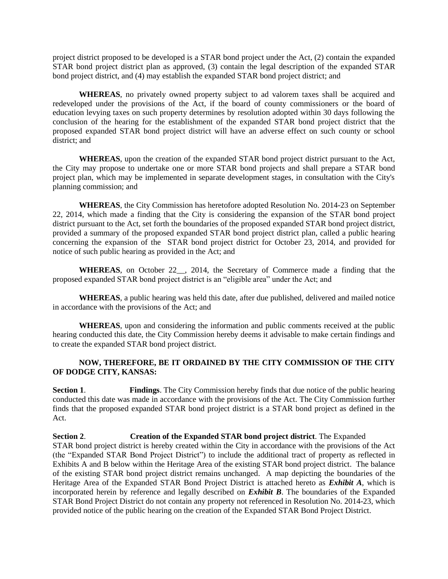project district proposed to be developed is a STAR bond project under the Act, (2) contain the expanded STAR bond project district plan as approved, (3) contain the legal description of the expanded STAR bond project district, and (4) may establish the expanded STAR bond project district; and

**WHEREAS**, no privately owned property subject to ad valorem taxes shall be acquired and redeveloped under the provisions of the Act, if the board of county commissioners or the board of education levying taxes on such property determines by resolution adopted within 30 days following the conclusion of the hearing for the establishment of the expanded STAR bond project district that the proposed expanded STAR bond project district will have an adverse effect on such county or school district; and

**WHEREAS**, upon the creation of the expanded STAR bond project district pursuant to the Act, the City may propose to undertake one or more STAR bond projects and shall prepare a STAR bond project plan, which may be implemented in separate development stages, in consultation with the City's planning commission; and

**WHEREAS**, the City Commission has heretofore adopted Resolution No. 2014-23 on September 22, 2014, which made a finding that the City is considering the expansion of the STAR bond project district pursuant to the Act, set forth the boundaries of the proposed expanded STAR bond project district, provided a summary of the proposed expanded STAR bond project district plan, called a public hearing concerning the expansion of the STAR bond project district for October 23, 2014, and provided for notice of such public hearing as provided in the Act; and

WHEREAS, on October 22 , 2014, the Secretary of Commerce made a finding that the proposed expanded STAR bond project district is an "eligible area" under the Act; and

**WHEREAS**, a public hearing was held this date, after due published, delivered and mailed notice in accordance with the provisions of the Act; and

**WHEREAS**, upon and considering the information and public comments received at the public hearing conducted this date, the City Commission hereby deems it advisable to make certain findings and to create the expanded STAR bond project district.

### **NOW, THEREFORE, BE IT ORDAINED BY THE CITY COMMISSION OF THE CITY OF DODGE CITY, KANSAS:**

**Section 1**. **Findings**. The City Commission hereby finds that due notice of the public hearing conducted this date was made in accordance with the provisions of the Act. The City Commission further finds that the proposed expanded STAR bond project district is a STAR bond project as defined in the Act.

**Section 2**. **Creation of the Expanded STAR bond project district**. The Expanded STAR bond project district is hereby created within the City in accordance with the provisions of the Act (the "Expanded STAR Bond Project District") to include the additional tract of property as reflected in Exhibits A and B below within the Heritage Area of the existing STAR bond project district. The balance of the existing STAR bond project district remains unchanged. A map depicting the boundaries of the Heritage Area of the Expanded STAR Bond Project District is attached hereto as *Exhibit A*, which is incorporated herein by reference and legally described on *Exhibit B*. The boundaries of the Expanded STAR Bond Project District do not contain any property not referenced in Resolution No. 2014-23, which provided notice of the public hearing on the creation of the Expanded STAR Bond Project District.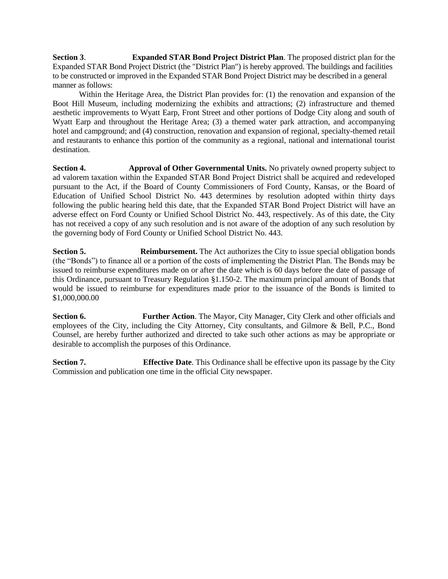**Section 3**. **Expanded STAR Bond Project District Plan**. The proposed district plan for the Expanded STAR Bond Project District (the "District Plan") is hereby approved. The buildings and facilities to be constructed or improved in the Expanded STAR Bond Project District may be described in a general manner as follows:

Within the Heritage Area, the District Plan provides for: (1) the renovation and expansion of the Boot Hill Museum, including modernizing the exhibits and attractions; (2) infrastructure and themed aesthetic improvements to Wyatt Earp, Front Street and other portions of Dodge City along and south of Wyatt Earp and throughout the Heritage Area; (3) a themed water park attraction, and accompanying hotel and campground; and (4) construction, renovation and expansion of regional, specialty-themed retail and restaurants to enhance this portion of the community as a regional, national and international tourist destination.

**Section 4. Approval of Other Governmental Units.** No privately owned property subject to ad valorem taxation within the Expanded STAR Bond Project District shall be acquired and redeveloped pursuant to the Act, if the Board of County Commissioners of Ford County, Kansas, or the Board of Education of Unified School District No. 443 determines by resolution adopted within thirty days following the public hearing held this date, that the Expanded STAR Bond Project District will have an adverse effect on Ford County or Unified School District No. 443, respectively. As of this date, the City has not received a copy of any such resolution and is not aware of the adoption of any such resolution by the governing body of Ford County or Unified School District No. 443.

**Section 5. <b>Reimbursement.** The Act authorizes the City to issue special obligation bonds (the "Bonds") to finance all or a portion of the costs of implementing the District Plan. The Bonds may be issued to reimburse expenditures made on or after the date which is 60 days before the date of passage of this Ordinance, pursuant to Treasury Regulation §1.150-2. The maximum principal amount of Bonds that would be issued to reimburse for expenditures made prior to the issuance of the Bonds is limited to \$1,000,000.00

**Section 6. Further Action**. The Mayor, City Manager, City Clerk and other officials and employees of the City, including the City Attorney, City consultants, and Gilmore & Bell, P.C., Bond Counsel, are hereby further authorized and directed to take such other actions as may be appropriate or desirable to accomplish the purposes of this Ordinance.

**Section 7. Effective Date**. This Ordinance shall be effective upon its passage by the City Commission and publication one time in the official City newspaper.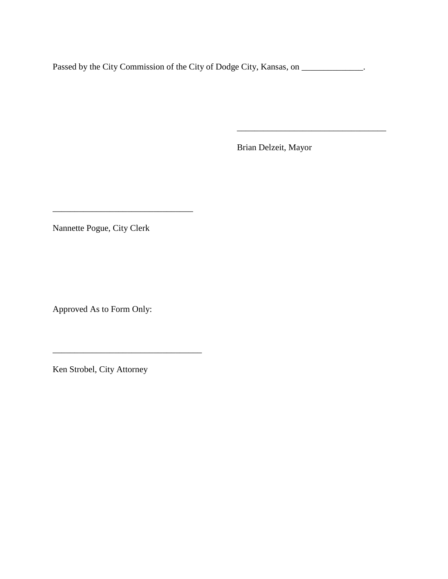Passed by the City Commission of the City of Dodge City, Kansas, on \_\_\_\_\_\_\_\_\_\_\_\_\_.

Brian Delzeit, Mayor

\_\_\_\_\_\_\_\_\_\_\_\_\_\_\_\_\_\_\_\_\_\_\_\_\_\_\_\_\_\_\_\_\_\_

Nannette Pogue, City Clerk

\_\_\_\_\_\_\_\_\_\_\_\_\_\_\_\_\_\_\_\_\_\_\_\_\_\_\_\_\_\_\_\_

\_\_\_\_\_\_\_\_\_\_\_\_\_\_\_\_\_\_\_\_\_\_\_\_\_\_\_\_\_\_\_\_\_\_

Approved As to Form Only:

Ken Strobel, City Attorney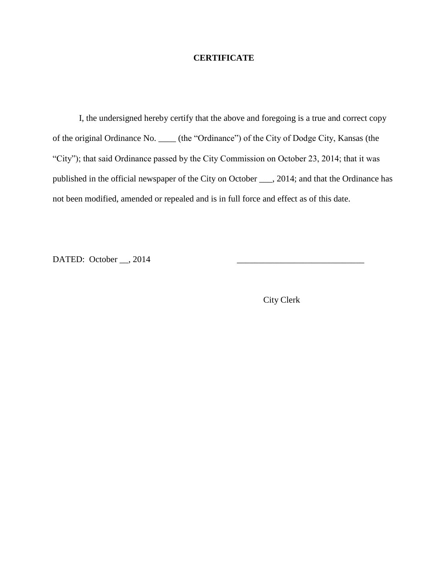### **CERTIFICATE**

I, the undersigned hereby certify that the above and foregoing is a true and correct copy of the original Ordinance No. \_\_\_\_ (the "Ordinance") of the City of Dodge City, Kansas (the "City"); that said Ordinance passed by the City Commission on October 23, 2014; that it was published in the official newspaper of the City on October \_\_\_, 2014; and that the Ordinance has not been modified, amended or repealed and is in full force and effect as of this date.

DATED: October  $\_\_$ , 2014

City Clerk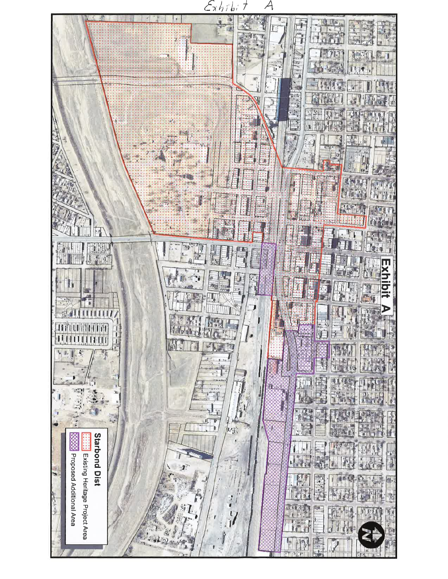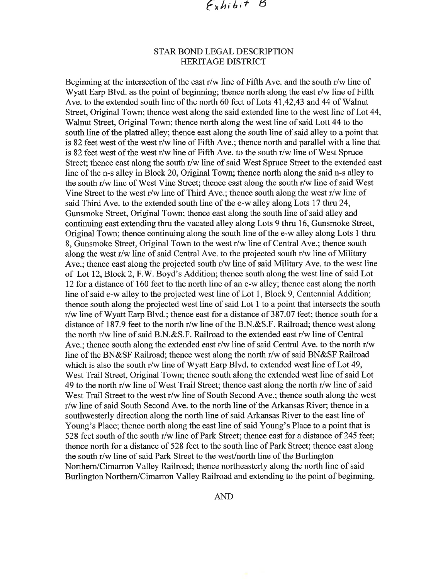## STAR BOND LEGAL DESCRIPTION **HERITAGE DISTRICT**

Beginning at the intersection of the east r/w line of Fifth Ave. and the south r/w line of Wyatt Earp Blvd. as the point of beginning; thence north along the east r/w line of Fifth Ave. to the extended south line of the north 60 feet of Lots 41,42,43 and 44 of Walnut Street, Original Town; thence west along the said extended line to the west line of Lot 44, Walnut Street, Original Town; thence north along the west line of said Lott 44 to the south line of the platted alley; thence east along the south line of said alley to a point that is 82 feet west of the west r/w line of Fifth Ave.; thence north and parallel with a line that is 82 feet west of the west r/w line of Fifth Ave. to the south r/w line of West Spruce Street; thence east along the south r/w line of said West Spruce Street to the extended east line of the n-s alley in Block 20, Original Town; thence north along the said n-s alley to the south r/w line of West Vine Street; thence east along the south r/w line of said West Vine Street to the west r/w line of Third Ave.; thence south along the west r/w line of said Third Ave. to the extended south line of the e-w alley along Lots 17 thru 24, Gunsmoke Street, Original Town; thence east along the south line of said alley and continuing east extending thru the vacated alley along Lots 9 thru 16, Gunsmoke Street, Original Town; thence continuing along the south line of the e-w alley along Lots 1 thru 8, Gunsmoke Street, Original Town to the west r/w line of Central Ave.; thence south along the west r/w line of said Central Ave. to the projected south r/w line of Military Ave.; thence east along the projected south r/w line of said Military Ave. to the west line of Lot 12, Block 2, F.W. Boyd's Addition; thence south along the west line of said Lot 12 for a distance of 160 feet to the north line of an e-w alley; thence east along the north line of said e-w alley to the projected west line of Lot 1, Block 9, Centennial Addition; thence south along the projected west line of said Lot 1 to a point that intersects the south r/w line of Wyatt Earp Blvd.; thence east for a distance of 387.07 feet; thence south for a distance of 187.9 feet to the north r/w line of the B.N.&S.F. Railroad; thence west along the north r/w line of said B.N.&S.F. Railroad to the extended east r/w line of Central Ave.; thence south along the extended east r/w line of said Central Ave. to the north r/w line of the BN&SF Railroad; thence west along the north r/w of said BN&SF Railroad which is also the south r/w line of Wyatt Earp Blvd. to extended west line of Lot 49, West Trail Street, Original Town; thence south along the extended west line of said Lot 49 to the north r/w line of West Trail Street; thence east along the north r/w line of said West Trail Street to the west r/w line of South Second Ave.; thence south along the west r/w line of said South Second Ave. to the north line of the Arkansas River; thence in a southwesterly direction along the north line of said Arkansas River to the east line of Young's Place; thence north along the east line of said Young's Place to a point that is 528 feet south of the south r/w line of Park Street; thence east for a distance of 245 feet; thence north for a distance of 528 feet to the south line of Park Street; thence east along the south r/w line of said Park Street to the west/north line of the Burlington Northern/Cimarron Valley Railroad; thence northeasterly along the north line of said Burlington Northern/Cimarron Valley Railroad and extending to the point of beginning.

**AND**